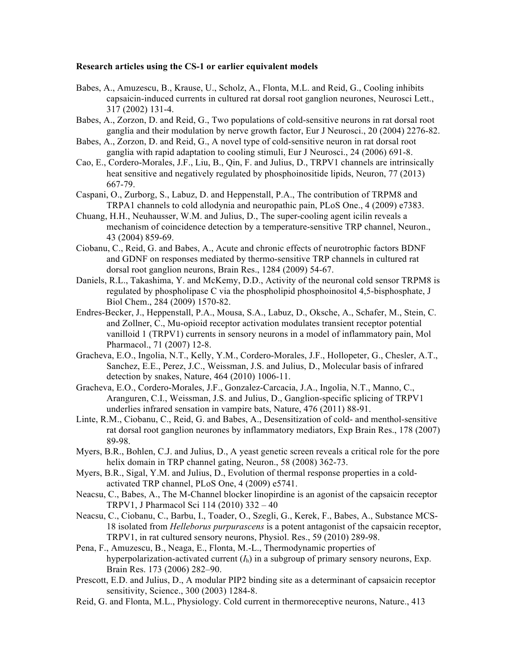## **Research articles using the CS-1 or earlier equivalent models**

- Babes, A., Amuzescu, B., Krause, U., Scholz, A., Flonta, M.L. and Reid, G., Cooling inhibits capsaicin-induced currents in cultured rat dorsal root ganglion neurones, Neurosci Lett., 317 (2002) 131-4.
- Babes, A., Zorzon, D. and Reid, G., Two populations of cold-sensitive neurons in rat dorsal root ganglia and their modulation by nerve growth factor, Eur J Neurosci., 20 (2004) 2276-82.
- Babes, A., Zorzon, D. and Reid, G., A novel type of cold-sensitive neuron in rat dorsal root ganglia with rapid adaptation to cooling stimuli, Eur J Neurosci., 24 (2006) 691-8.
- Cao, E., Cordero-Morales, J.F., Liu, B., Qin, F. and Julius, D., TRPV1 channels are intrinsically heat sensitive and negatively regulated by phosphoinositide lipids, Neuron, 77 (2013) 667-79.
- Caspani, O., Zurborg, S., Labuz, D. and Heppenstall, P.A., The contribution of TRPM8 and TRPA1 channels to cold allodynia and neuropathic pain, PLoS One., 4 (2009) e7383.
- Chuang, H.H., Neuhausser, W.M. and Julius, D., The super-cooling agent icilin reveals a mechanism of coincidence detection by a temperature-sensitive TRP channel, Neuron., 43 (2004) 859-69.
- Ciobanu, C., Reid, G. and Babes, A., Acute and chronic effects of neurotrophic factors BDNF and GDNF on responses mediated by thermo-sensitive TRP channels in cultured rat dorsal root ganglion neurons, Brain Res., 1284 (2009) 54-67.
- Daniels, R.L., Takashima, Y. and McKemy, D.D., Activity of the neuronal cold sensor TRPM8 is regulated by phospholipase C via the phospholipid phosphoinositol 4,5-bisphosphate, J Biol Chem., 284 (2009) 1570-82.
- Endres-Becker, J., Heppenstall, P.A., Mousa, S.A., Labuz, D., Oksche, A., Schafer, M., Stein, C. and Zollner, C., Mu-opioid receptor activation modulates transient receptor potential vanilloid 1 (TRPV1) currents in sensory neurons in a model of inflammatory pain, Mol Pharmacol., 71 (2007) 12-8.
- Gracheva, E.O., Ingolia, N.T., Kelly, Y.M., Cordero-Morales, J.F., Hollopeter, G., Chesler, A.T., Sanchez, E.E., Perez, J.C., Weissman, J.S. and Julius, D., Molecular basis of infrared detection by snakes, Nature, 464 (2010) 1006-11.
- Gracheva, E.O., Cordero-Morales, J.F., Gonzalez-Carcacia, J.A., Ingolia, N.T., Manno, C., Aranguren, C.I., Weissman, J.S. and Julius, D., Ganglion-specific splicing of TRPV1 underlies infrared sensation in vampire bats, Nature, 476 (2011) 88-91.
- Linte, R.M., Ciobanu, C., Reid, G. and Babes, A., Desensitization of cold- and menthol-sensitive rat dorsal root ganglion neurones by inflammatory mediators, Exp Brain Res., 178 (2007) 89-98.
- Myers, B.R., Bohlen, C.J. and Julius, D., A yeast genetic screen reveals a critical role for the pore helix domain in TRP channel gating, Neuron., 58 (2008) 362-73.
- Myers, B.R., Sigal, Y.M. and Julius, D., Evolution of thermal response properties in a coldactivated TRP channel, PLoS One, 4 (2009) e5741.
- Neacsu, C., Babes, A., The M-Channel blocker linopirdine is an agonist of the capsaicin receptor TRPV1, J Pharmacol Sci 114 (2010) 332 – 40
- Neacsu, C., Ciobanu, C., Barbu, I., Toader, O., Szegli, G., Kerek, F., Babes, A., Substance MCS-18 isolated from *Helleborus purpurascens* is a potent antagonist of the capsaicin receptor, TRPV1, in rat cultured sensory neurons, Physiol. Res., 59 (2010) 289-98.
- Pena, F., Amuzescu, B., Neaga, E., Flonta, M.-L., Thermodynamic properties of hyperpolarization-activated current  $(I_h)$  in a subgroup of primary sensory neurons, Exp. Brain Res. 173 (2006) 282–90.
- Prescott, E.D. and Julius, D., A modular PIP2 binding site as a determinant of capsaicin receptor sensitivity, Science., 300 (2003) 1284-8.
- Reid, G. and Flonta, M.L., Physiology. Cold current in thermoreceptive neurons, Nature., 413